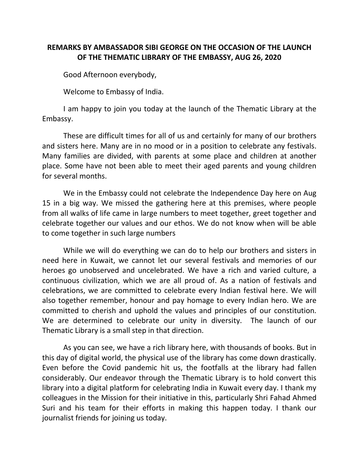## **REMARKS BY AMBASSADOR SIBI GEORGE ON THE OCCASION OF THE LAUNCH OF THE THEMATIC LIBRARY OF THE EMBASSY, AUG 26, 2020**

Good Afternoon everybody,

Welcome to Embassy of India.

I am happy to join you today at the launch of the Thematic Library at the Embassy.

These are difficult times for all of us and certainly for many of our brothers and sisters here. Many are in no mood or in a position to celebrate any festivals. Many families are divided, with parents at some place and children at another place. Some have not been able to meet their aged parents and young children for several months.

We in the Embassy could not celebrate the Independence Day here on Aug 15 in a big way. We missed the gathering here at this premises, where people from all walks of life came in large numbers to meet together, greet together and celebrate together our values and our ethos. We do not know when will be able to come together in such large numbers

While we will do everything we can do to help our brothers and sisters in need here in Kuwait, we cannot let our several festivals and memories of our heroes go unobserved and uncelebrated. We have a rich and varied culture, a continuous civilization, which we are all proud of. As a nation of festivals and celebrations, we are committed to celebrate every Indian festival here. We will also together remember, honour and pay homage to every Indian hero. We are committed to cherish and uphold the values and principles of our constitution. We are determined to celebrate our unity in diversity. The launch of our Thematic Library is a small step in that direction.

As you can see, we have a rich library here, with thousands of books. But in this day of digital world, the physical use of the library has come down drastically. Even before the Covid pandemic hit us, the footfalls at the library had fallen considerably. Our endeavor through the Thematic Library is to hold convert this library into a digital platform for celebrating India in Kuwait every day. I thank my colleagues in the Mission for their initiative in this, particularly Shri Fahad Ahmed Suri and his team for their efforts in making this happen today. I thank our journalist friends for joining us today.